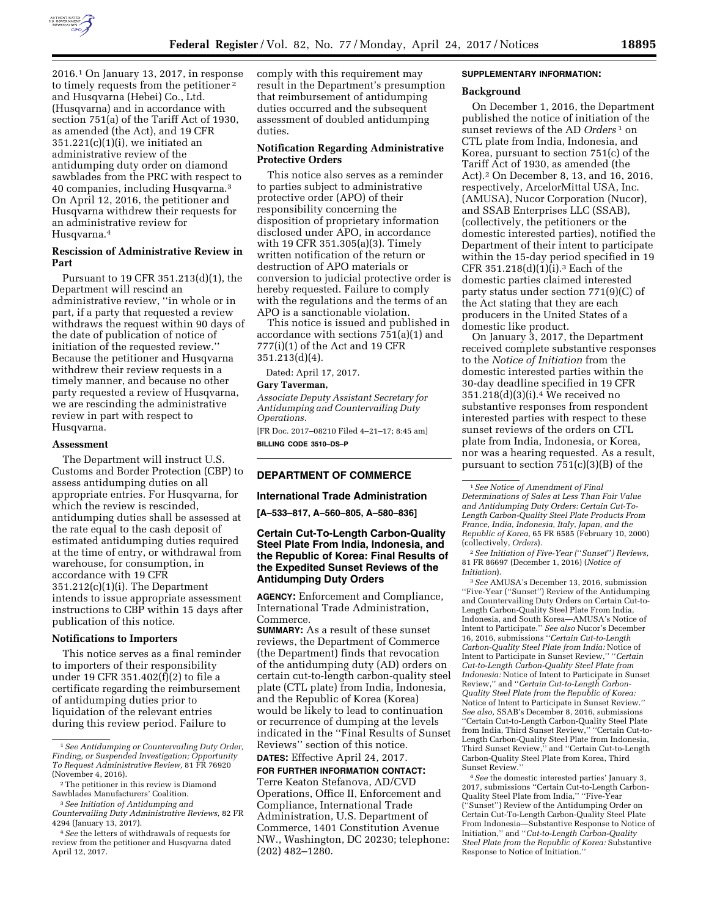

2016.1 On January 13, 2017, in response to timely requests from the petitioner 2 and Husqvarna (Hebei) Co., Ltd. (Husqvarna) and in accordance with section 751(a) of the Tariff Act of 1930, as amended (the Act), and 19 CFR  $351.221(c)(1)(i)$ , we initiated an administrative review of the antidumping duty order on diamond sawblades from the PRC with respect to 40 companies, including Husqvarna.3 On April 12, 2016, the petitioner and Husqvarna withdrew their requests for an administrative review for Husqvarna.4

# **Rescission of Administrative Review in Part**

Pursuant to 19 CFR 351.213(d)(1), the Department will rescind an administrative review, ''in whole or in part, if a party that requested a review withdraws the request within 90 days of the date of publication of notice of initiation of the requested review.'' Because the petitioner and Husqvarna withdrew their review requests in a timely manner, and because no other party requested a review of Husqvarna, we are rescinding the administrative review in part with respect to Husqvarna.

#### **Assessment**

The Department will instruct U.S. Customs and Border Protection (CBP) to assess antidumping duties on all appropriate entries. For Husqvarna, for which the review is rescinded, antidumping duties shall be assessed at the rate equal to the cash deposit of estimated antidumping duties required at the time of entry, or withdrawal from warehouse, for consumption, in accordance with 19 CFR 351.212(c)(1)(i). The Department intends to issue appropriate assessment instructions to CBP within 15 days after publication of this notice.

#### **Notifications to Importers**

This notice serves as a final reminder to importers of their responsibility under 19 CFR 351.402(f)(2) to file a certificate regarding the reimbursement of antidumping duties prior to liquidation of the relevant entries during this review period. Failure to

comply with this requirement may result in the Department's presumption that reimbursement of antidumping duties occurred and the subsequent assessment of doubled antidumping duties.

## **Notification Regarding Administrative Protective Orders**

This notice also serves as a reminder to parties subject to administrative protective order (APO) of their responsibility concerning the disposition of proprietary information disclosed under APO, in accordance with 19 CFR 351.305(a)(3). Timely written notification of the return or destruction of APO materials or conversion to judicial protective order is hereby requested. Failure to comply with the regulations and the terms of an APO is a sanctionable violation.

This notice is issued and published in accordance with sections 751(a)(1) and 777(i)(1) of the Act and 19 CFR 351.213(d)(4).

Dated: April 17, 2017.

#### **Gary Taverman,**

*Associate Deputy Assistant Secretary for Antidumping and Countervailing Duty Operations.*  [FR Doc. 2017–08210 Filed 4–21–17; 8:45 am]

**BILLING CODE 3510–DS–P** 

# **DEPARTMENT OF COMMERCE**

## **International Trade Administration**

**[A–533–817, A–560–805, A–580–836]** 

# **Certain Cut-To-Length Carbon-Quality Steel Plate From India, Indonesia, and the Republic of Korea: Final Results of the Expedited Sunset Reviews of the Antidumping Duty Orders**

**AGENCY:** Enforcement and Compliance, International Trade Administration, Commerce.

**SUMMARY:** As a result of these sunset reviews, the Department of Commerce (the Department) finds that revocation of the antidumping duty (AD) orders on certain cut-to-length carbon-quality steel plate (CTL plate) from India, Indonesia, and the Republic of Korea (Korea) would be likely to lead to continuation or recurrence of dumping at the levels indicated in the ''Final Results of Sunset Reviews'' section of this notice.

**DATES:** Effective April 24, 2017.

**FOR FURTHER INFORMATION CONTACT:**  Terre Keaton Stefanova, AD/CVD Operations, Office II, Enforcement and Compliance, International Trade Administration, U.S. Department of Commerce, 1401 Constitution Avenue NW., Washington, DC 20230; telephone: (202) 482–1280.

## **SUPPLEMENTARY INFORMATION:**

#### **Background**

On December 1, 2016, the Department published the notice of initiation of the sunset reviews of the AD *Orders* 1 on CTL plate from India, Indonesia, and Korea, pursuant to section 751(c) of the Tariff Act of 1930, as amended (the Act).2 On December 8, 13, and 16, 2016, respectively, ArcelorMittal USA, Inc. (AMUSA), Nucor Corporation (Nucor), and SSAB Enterprises LLC (SSAB), (collectively, the petitioners or the domestic interested parties), notified the Department of their intent to participate within the 15-day period specified in 19 CFR 351.218(d)(1)(i).3 Each of the domestic parties claimed interested party status under section 771(9)(C) of the Act stating that they are each producers in the United States of a domestic like product.

On January 3, 2017, the Department received complete substantive responses to the *Notice of Initiation* from the domestic interested parties within the 30-day deadline specified in 19 CFR 351.218(d)(3)(i).4 We received no substantive responses from respondent interested parties with respect to these sunset reviews of the orders on CTL plate from India, Indonesia, or Korea, nor was a hearing requested. As a result, pursuant to section  $751(c)(3)(B)$  of the

2*See Initiation of Five-Year (*''*Sunset*''*) Reviews,*  81 FR 86697 (December 1, 2016) (*Notice of Initiation*).

3*See* AMUSA's December 13, 2016, submission ''Five-Year (''Sunset'') Review of the Antidumping and Countervailing Duty Orders on Certain Cut-to-Length Carbon-Quality Steel Plate From India, Indonesia, and South Korea—AMUSA's Notice of Intent to Participate.'' *See also* Nucor's December 16, 2016, submissions ''*Certain Cut-to-Length Carbon-Quality Steel Plate from India:* Notice of Intent to Participate in Sunset Review,'' ''*Certain Cut-to-Length Carbon-Quality Steel Plate from Indonesia:* Notice of Intent to Participate in Sunset Review,'' and ''*Certain Cut-to-Length Carbon-Quality Steel Plate from the Republic of Korea:*  Notice of Intent to Participate in Sunset Review.'' *See also,* SSAB's December 8, 2016, submissions ''Certain Cut-to-Length Carbon-Quality Steel Plate from India, Third Sunset Review," "Certain Cut-to-Length Carbon-Quality Steel Plate from Indonesia, Third Sunset Review,'' and ''Certain Cut-to-Length Carbon-Quality Steel Plate from Korea, Third Sunset Review.''

4*See* the domestic interested parties' January 3, 2017, submissions ''Certain Cut-to-Length Carbon-Quality Steel Plate from India,'' ''Five-Year (''Sunset'') Review of the Antidumping Order on Certain Cut-To-Length Carbon-Quality Steel Plate From Indonesia—Substantive Response to Notice of Initiation,'' and ''*Cut-to-Length Carbon-Quality Steel Plate from the Republic of Korea:* Substantive Response to Notice of Initiation.''

<sup>1</sup>*See Antidumping or Countervailing Duty Order, Finding, or Suspended Investigation; Opportunity To Request Administrative Review,* 81 FR 76920 (November 4, 2016).

<sup>2</sup>The petitioner in this review is Diamond Sawblades Manufacturers' Coalition.

<sup>3</sup>*See Initiation of Antidumping and Countervailing Duty Administrative Reviews,* 82 FR 4294 (January 13, 2017).

<sup>4</sup>*See* the letters of withdrawals of requests for review from the petitioner and Husqvarna dated April 12, 2017.

<sup>1</sup>*See Notice of Amendment of Final Determinations of Sales at Less Than Fair Value and Antidumping Duty Orders: Certain Cut-To-Length Carbon-Quality Steel Plate Products From France, India, Indonesia, Italy, Japan, and the Republic of Korea,* 65 FR 6585 (February 10, 2000) (collectively, *Orders*).